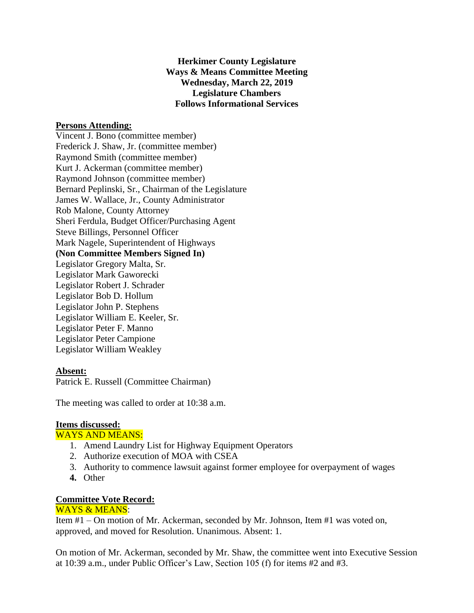**Herkimer County Legislature Ways & Means Committee Meeting Wednesday, March 22, 2019 Legislature Chambers Follows Informational Services**

## **Persons Attending:**

Vincent J. Bono (committee member) Frederick J. Shaw, Jr. (committee member) Raymond Smith (committee member) Kurt J. Ackerman (committee member) Raymond Johnson (committee member) Bernard Peplinski, Sr., Chairman of the Legislature James W. Wallace, Jr., County Administrator Rob Malone, County Attorney Sheri Ferdula, Budget Officer/Purchasing Agent Steve Billings, Personnel Officer Mark Nagele, Superintendent of Highways **(Non Committee Members Signed In)** Legislator Gregory Malta, Sr. Legislator Mark Gaworecki Legislator Robert J. Schrader Legislator Bob D. Hollum Legislator John P. Stephens Legislator William E. Keeler, Sr. Legislator Peter F. Manno Legislator Peter Campione Legislator William Weakley

#### **Absent:**

Patrick E. Russell (Committee Chairman)

The meeting was called to order at 10:38 a.m.

# **Items discussed:**

### WAYS AND MEANS:

- 1. Amend Laundry List for Highway Equipment Operators
- 2. Authorize execution of MOA with CSEA
- 3. Authority to commence lawsuit against former employee for overpayment of wages
- **4.** Other

## **Committee Vote Record:**

## WAYS & MEANS:

Item #1 – On motion of Mr. Ackerman, seconded by Mr. Johnson, Item #1 was voted on, approved, and moved for Resolution. Unanimous. Absent: 1.

On motion of Mr. Ackerman, seconded by Mr. Shaw, the committee went into Executive Session at 10:39 a.m., under Public Officer's Law, Section 105 (f) for items #2 and #3.